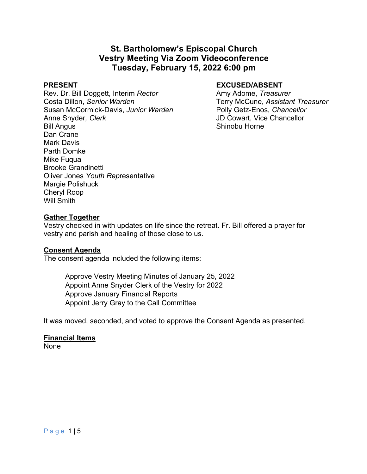# **St. Bartholomew's Episcopal Church Vestry Meeting Via Zoom Videoconference Tuesday, February 15, 2022 6:00 pm**

Rev. Dr. Bill Doggett, Interim *Rector* Amy Adome, *Treasurer* Costa Dillon, *Senior Warden* Terry McCune, *Assistant Treasurer* Susan McCormick-Davis, *Junior Warden* Polly Getz-Enos, *Chancellor* Anne Snyder*, Clerk* JD Cowart, Vice Chancellor Bill Angus **Shinobu Horne** Dan Crane Mark Davis Parth Domke Mike Fuqua Brooke Grandinetti Oliver Jones *Youth Rep*resentative Margie Polishuck Cheryl Roop Will Smith

# PRESENT **EXCUSED/ABSENT**

#### **Gather Together**

Vestry checked in with updates on life since the retreat. Fr. Bill offered a prayer for vestry and parish and healing of those close to us.

#### **Consent Agenda**

The consent agenda included the following items:

Approve Vestry Meeting Minutes of January 25, 2022 Appoint Anne Snyder Clerk of the Vestry for 2022 Approve January Financial Reports Appoint Jerry Gray to the Call Committee

It was moved, seconded, and voted to approve the Consent Agenda as presented.

# **Financial Items**

None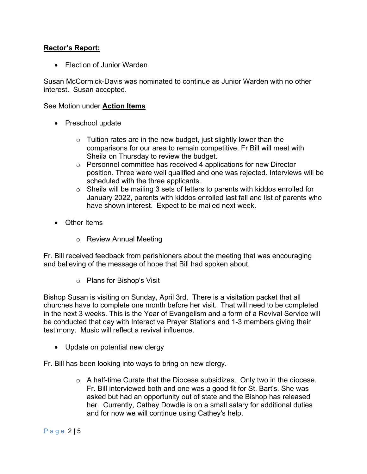# **Rector's Report:**

• Election of Junior Warden

Susan McCormick-Davis was nominated to continue as Junior Warden with no other interest. Susan accepted.

### See Motion under **Action Items**

- Preschool update
	- $\circ$  Tuition rates are in the new budget, just slightly lower than the comparisons for our area to remain competitive. Fr Bill will meet with Sheila on Thursday to review the budget.
	- o Personnel committee has received 4 applications for new Director position. Three were well qualified and one was rejected. Interviews will be scheduled with the three applicants.
	- $\circ$  Sheila will be mailing 3 sets of letters to parents with kiddos enrolled for January 2022, parents with kiddos enrolled last fall and list of parents who have shown interest. Expect to be mailed next week.
- Other Items
	- o Review Annual Meeting

Fr. Bill received feedback from parishioners about the meeting that was encouraging and believing of the message of hope that Bill had spoken about.

o Plans for Bishop's Visit

Bishop Susan is visiting on Sunday, April 3rd. There is a visitation packet that all churches have to complete one month before her visit. That will need to be completed in the next 3 weeks. This is the Year of Evangelism and a form of a Revival Service will be conducted that day with Interactive Prayer Stations and 1-3 members giving their testimony. Music will reflect a revival influence.

- Update on potential new clergy
- Fr. Bill has been looking into ways to bring on new clergy.
	- $\circ$  A half-time Curate that the Diocese subsidizes. Only two in the diocese. Fr. Bill interviewed both and one was a good fit for St. Bart's. She was asked but had an opportunity out of state and the Bishop has released her. Currently, Cathey Dowdle is on a small salary for additional duties and for now we will continue using Cathey's help.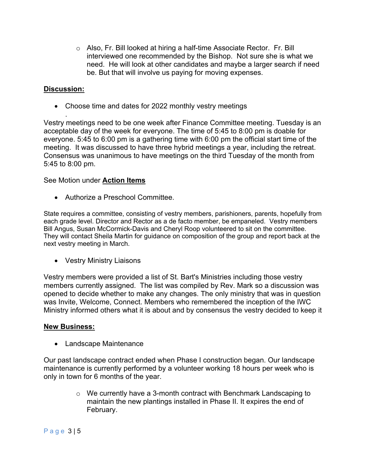o Also, Fr. Bill looked at hiring a half-time Associate Rector. Fr. Bill interviewed one recommended by the Bishop. Not sure she is what we need. He will look at other candidates and maybe a larger search if need be. But that will involve us paying for moving expenses.

# **Discussion:**

.

• Choose time and dates for 2022 monthly vestry meetings

Vestry meetings need to be one week after Finance Committee meeting. Tuesday is an acceptable day of the week for everyone. The time of 5:45 to 8:00 pm is doable for everyone. 5:45 to 6:00 pm is a gathering time with 6:00 pm the official start time of the meeting. It was discussed to have three hybrid meetings a year, including the retreat. Consensus was unanimous to have meetings on the third Tuesday of the month from 5:45 to 8:00 pm.

# See Motion under **Action Items**

• Authorize a Preschool Committee.

State requires a committee, consisting of vestry members, parishioners, parents, hopefully from each grade level. Director and Rector as a de facto member, be empaneled. Vestry members Bill Angus, Susan McCormick-Davis and Cheryl Roop volunteered to sit on the committee. They will contact Sheila Martin for guidance on composition of the group and report back at the next vestry meeting in March.

• Vestry Ministry Liaisons

Vestry members were provided a list of St. Bart's Ministries including those vestry members currently assigned. The list was compiled by Rev. Mark so a discussion was opened to decide whether to make any changes. The only ministry that was in question was Invite, Welcome, Connect. Members who remembered the inception of the IWC Ministry informed others what it is about and by consensus the vestry decided to keep it

#### **New Business:**

• Landscape Maintenance

Our past landscape contract ended when Phase I construction began. Our landscape maintenance is currently performed by a volunteer working 18 hours per week who is only in town for 6 months of the year.

> $\circ$  We currently have a 3-month contract with Benchmark Landscaping to maintain the new plantings installed in Phase II. It expires the end of February.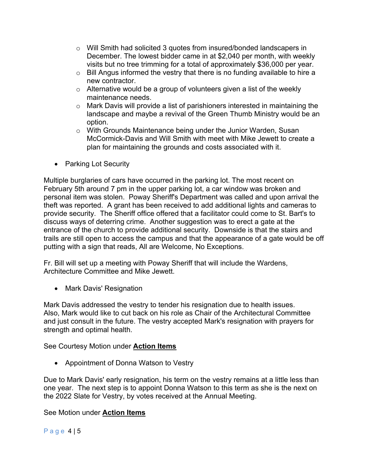- o Will Smith had solicited 3 quotes from insured/bonded landscapers in December. The lowest bidder came in at \$2,040 per month, with weekly visits but no tree trimming for a total of approximately \$36,000 per year.
- o Bill Angus informed the vestry that there is no funding available to hire a new contractor.
- $\circ$  Alternative would be a group of volunteers given a list of the weekly maintenance needs.
- $\circ$  Mark Davis will provide a list of parishioners interested in maintaining the landscape and maybe a revival of the Green Thumb Ministry would be an option.
- o With Grounds Maintenance being under the Junior Warden, Susan McCormick-Davis and Will Smith with meet with Mike Jewett to create a plan for maintaining the grounds and costs associated with it.
- Parking Lot Security

Multiple burglaries of cars have occurred in the parking lot. The most recent on February 5th around 7 pm in the upper parking lot, a car window was broken and personal item was stolen. Poway Sheriff's Department was called and upon arrival the theft was reported. A grant has been received to add additional lights and cameras to provide security. The Sheriff office offered that a facilitator could come to St. Bart's to discuss ways of deterring crime. Another suggestion was to erect a gate at the entrance of the church to provide additional security. Downside is that the stairs and trails are still open to access the campus and that the appearance of a gate would be off putting with a sign that reads, All are Welcome, No Exceptions.

Fr. Bill will set up a meeting with Poway Sheriff that will include the Wardens, Architecture Committee and Mike Jewett.

• Mark Davis' Resignation

Mark Davis addressed the vestry to tender his resignation due to health issues. Also, Mark would like to cut back on his role as Chair of the Architectural Committee and just consult in the future. The vestry accepted Mark's resignation with prayers for strength and optimal health.

See Courtesy Motion under **Action Items**

• Appointment of Donna Watson to Vestry

Due to Mark Davis' early resignation, his term on the vestry remains at a little less than one year. The next step is to appoint Donna Watson to this term as she is the next on the 2022 Slate for Vestry, by votes received at the Annual Meeting.

# See Motion under **Action Items**